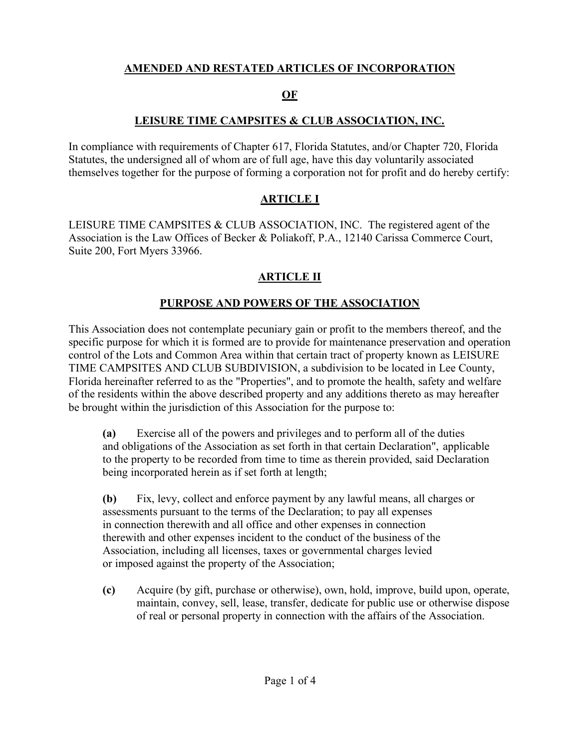# **AMENDED AND RESTATED ARTICLES OF INCORPORATION**

#### **OF**

## **LEISURE TIME CAMPSITES & CLUB ASSOCIATION, INC.**

In compliance with requirements of Chapter 617, Florida Statutes, and/or Chapter 720, Florida Statutes, the undersigned all of whom are of full age, have this day voluntarily associated themselves together for the purpose of forming a corporation not for profit and do hereby certify:

## **ARTICLE I**

LEISURE TIME CAMPSITES & CLUB ASSOCIATION, INC. The registered agent of the Association is the Law Offices of Becker & Poliakoff, P.A., 12140 Carissa Commerce Court, Suite 200, Fort Myers 33966.

# **ARTICLE II**

## **PURPOSE AND POWERS OF THE ASSOCIATION**

This Association does not contemplate pecuniary gain or profit to the members thereof, and the specific purpose for which it is formed are to provide for maintenance preservation and operation control of the Lots and Common Area within that certain tract of property known as LEISURE TIME CAMPSITES AND CLUB SUBDIVISION, a subdivision to be located in Lee County, Florida hereinafter referred to as the "Properties", and to promote the health, safety and welfare of the residents within the above described property and any additions thereto as may hereafter be brought within the jurisdiction of this Association for the purpose to:

**(a)** Exercise all of the powers and privileges and to perform all of the duties and obligations of the Association as set forth in that certain Declaration", applicable to the property to be recorded from time to time as therein provided, said Declaration being incorporated herein as if set forth at length;

**(b)** Fix, levy, collect and enforce payment by any lawful means, all charges or assessments pursuant to the terms of the Declaration; to pay all expenses in connection therewith and all office and other expenses in connection therewith and other expenses incident to the conduct of the business of the Association, including all licenses, taxes or governmental charges levied or imposed against the property of the Association;

**(c)** Acquire (by gift, purchase or otherwise), own, hold, improve, build upon, operate, maintain, convey, sell, lease, transfer, dedicate for public use or otherwise dispose of real or personal property in connection with the affairs of the Association.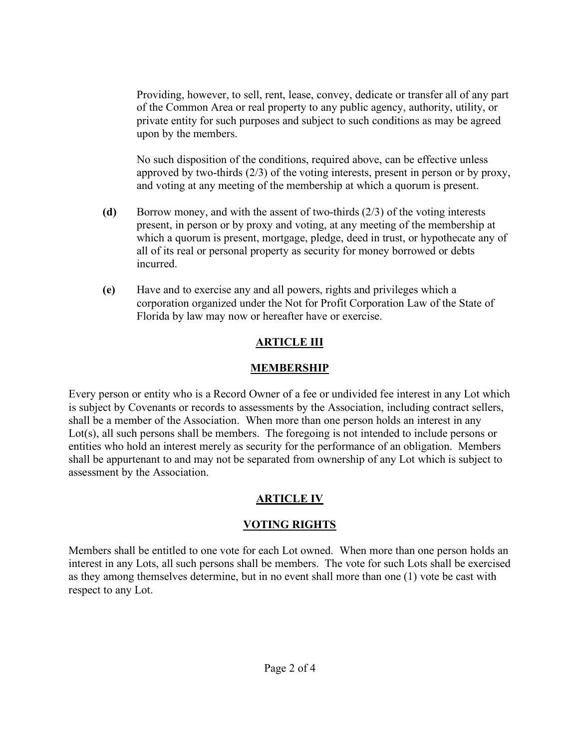Providing, however, to sell, rent, lease, convey, dedicate or transfer all of any part of the Common Area or real property to any public agency, authority, utility, or private entity for such purposes and subject to such conditions as may be agreed upon by the members.

No such disposition of the conditions, required above, can be effective unless approved by two-thirds (2/3) of the voting interests, present in person or by proxy, and voting at any meeting of the membership at which a quorum is present.

- **(d)** Borrow money, and with the assent of two-thirds (2/3) of the voting interests present, in person or by proxy and voting, at any meeting of the membership at which a quorum is present, mortgage, pledge, deed in trust, or hypothecate any of all of its real or personal property as security for money borrowed or debts incurred.
- **(e)** Have and to exercise any and all powers, rights and privileges which a corporation organized under the Not for Profit Corporation Law of the State of Florida by law may now or hereafter have or exercise.

# **ARTICLE III**

## **MEMBERSHIP**

Every person or entity who is a Record Owner of a fee or undivided fee interest in any Lot which is subject by Covenants or records to assessments by the Association, including contract sellers, shall be a member of the Association. When more than one person holds an interest in any Lot(s), all such persons shall be members. The foregoing is not intended to include persons or entities who hold an interest merely as security for the performance of an obligation. Members shall be appurtenant to and may not be separated from ownership of any Lot which is subject to assessment by the Association.

# **ARTICLE IV**

# **VOTING RIGHTS**

Members shall be entitled to one vote for each Lot owned. When more than one person holds an interest in any Lots, all such persons shall be members. The vote for such Lots shall be exercised as they among themselves determine, but in no event shall more than one (1) vote be cast with respect to any Lot.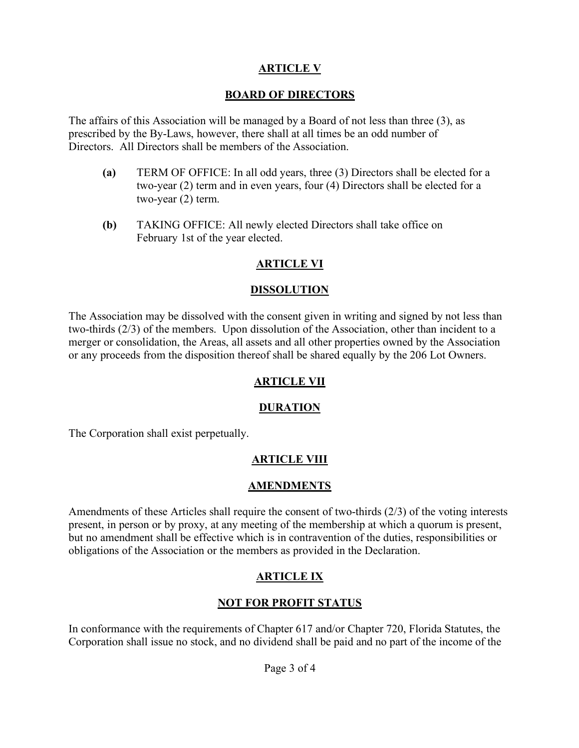## **ARTICLE V**

#### **BOARD OF DIRECTORS**

The affairs of this Association will be managed by a Board of not less than three (3), as prescribed by the By-Laws, however, there shall at all times be an odd number of Directors. All Directors shall be members of the Association.

- **(a)** TERM OF OFFICE: In all odd years, three (3) Directors shall be elected for a two-year (2) term and in even years, four (4) Directors shall be elected for a two-year (2) term.
- **(b)** TAKING OFFICE: All newly elected Directors shall take office on February 1st of the year elected.

## **ARTICLE VI**

#### **DISSOLUTION**

The Association may be dissolved with the consent given in writing and signed by not less than two-thirds (2/3) of the members. Upon dissolution of the Association, other than incident to a merger or consolidation, the Areas, all assets and all other properties owned by the Association or any proceeds from the disposition thereof shall be shared equally by the 206 Lot Owners.

## **ARTICLE VII**

## **DURATION**

The Corporation shall exist perpetually.

## **ARTICLE VIII**

#### **AMENDMENTS**

Amendments of these Articles shall require the consent of two-thirds (2/3) of the voting interests present, in person or by proxy, at any meeting of the membership at which a quorum is present, but no amendment shall be effective which is in contravention of the duties, responsibilities or obligations of the Association or the members as provided in the Declaration.

## **ARTICLE IX**

## **NOT FOR PROFIT STATUS**

In conformance with the requirements of Chapter 617 and/or Chapter 720, Florida Statutes, the Corporation shall issue no stock, and no dividend shall be paid and no part of the income of the